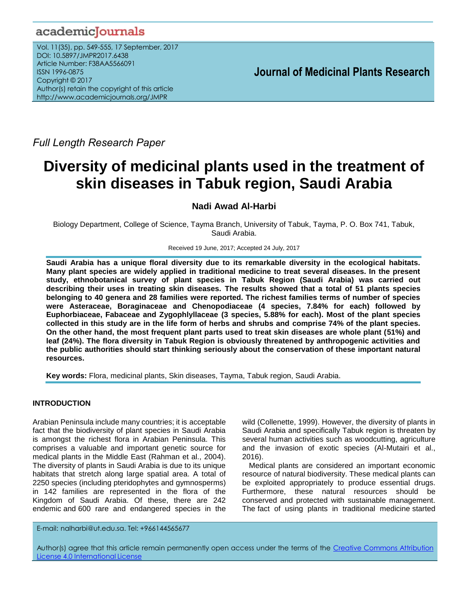# academicJournals

Vol. 11(35), pp. 549-555, 17 September, 2017 DOI: 10.5897/JMPR2017.6438 Article Number: F38AA5566091 ISSN 1996-0875 Copyright © 2017 Author(s) retain the copyright of this article http://www.academicjournals.org/JMPR

 **Journal of Medicinal Plants Research**

*Full Length Research Paper*

# **Diversity of medicinal plants used in the treatment of skin diseases in Tabuk region, Saudi Arabia**

# **Nadi Awad Al-Harbi**

Biology Department, College of Science, Tayma Branch, University of Tabuk, Tayma, P. O. Box 741, Tabuk, Saudi Arabia.

Received 19 June, 2017; Accepted 24 July, 2017

**Saudi Arabia has a unique floral diversity due to its remarkable diversity in the ecological habitats. Many plant species are widely applied in traditional medicine to treat several diseases. In the present study, ethnobotanical survey of plant species in Tabuk Region (Saudi Arabia) was carried out describing their uses in treating skin diseases. The results showed that a total of 51 plants species belonging to 40 genera and 28 families were reported. The richest families terms of number of species were Asteraceae, Boraginaceae and Chenopodiaceae (4 species, 7.84% for each) followed by Euphorbiaceae, Fabaceae and Zygophlyllaceae (3 species, 5.88% for each). Most of the plant species collected in this study are in the life form of herbs and shrubs and comprise 74% of the plant species. On the other hand, the most frequent plant parts used to treat skin diseases are whole plant (51%) and leaf (24%). The flora diversity in Tabuk Region is obviously threatened by anthropogenic activities and the public authorities should start thinking seriously about the conservation of these important natural resources.**

**Key words:** Flora, medicinal plants, Skin diseases, Tayma, Tabuk region, Saudi Arabia.

# **INTRODUCTION**

Arabian Peninsula include many countries; it is acceptable fact that the biodiversity of plant species in Saudi Arabia is amongst the richest flora in Arabian Peninsula. This comprises a valuable and important genetic source for medical plants in the Middle East (Rahman et al., 2004). The diversity of plants in Saudi Arabia is due to its unique habitats that stretch along large spatial area. A total of 2250 species (including pteridophytes and gymnosperms) in 142 families are represented in the flora of the Kingdom of Saudi Arabia. Of these, there are 242 endemic and 600 rare and endangered species in the wild (Collenette, 1999). However, the diversity of plants in Saudi Arabia and specifically Tabuk region is threaten by several human activities such as woodcutting, agriculture and the invasion of exotic species (Al-Mutairi et al., 2016).

Medical plants are considered an important economic resource of natural biodiversity. These medical plants can be exploited appropriately to produce essential drugs. Furthermore, these natural resources should be conserved and protected with sustainable management. The fact of using plants in traditional medicine started

E-mail: nalharbi@ut.edu.sa. Tel: +966144565677

Author(s) agree that this article remain permanently open access under the terms of the Creative Commons Attribution License 4.0 [International](http://creativecommons.org/licenses/by/4.0/deed.en_US) License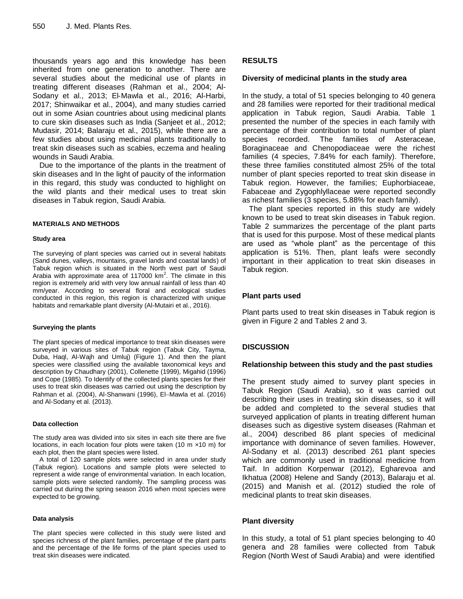thousands years ago and this knowledge has been inherited from one generation to another. There are several studies about the medicinal use of plants in treating different diseases (Rahman et al., 2004; Al-Sodany et al., 2013; El-Mawla et al., 2016; Al-Harbi, 2017; Shinwaikar et al., 2004), and many studies carried out in some Asian countries about using medicinal plants to cure skin diseases such as India (Sanjeet et al., 2012; Mudasir, 2014; Balaraju et al., 2015), while there are a few studies about using medicinal plants traditionally to treat skin diseases such as scabies, eczema and healing wounds in Saudi Arabia.

Due to the importance of the plants in the treatment of skin diseases and In the light of paucity of the information in this regard, this study was conducted to highlight on the wild plants and their medical uses to treat skin diseases in Tabuk region, Saudi Arabia.

#### **MATERIALS AND METHODS**

#### **Study area**

The surveying of plant species was carried out in several habitats (Sand dunes, valleys, mountains, gravel lands and coastal lands) of Tabuk region which is situated in the North west part of Saudi Arabia with approximate area of 117000  $km^2$ . The climate in this region is extremely arid with very low annual rainfall of less than 40 mm/year. According to several floral and ecological studies conducted in this region, this region is characterized with unique habitats and remarkable plant diversity (Al-Mutairi et al., 2016).

#### **Surveying the plants**

The plant species of medical importance to treat skin diseases were surveyed in various sites of Tabuk region (Tabuk City, Tayma, Duba, Haql, Al-Wajh and Umluj) (Figure 1). And then the plant species were classified using the available taxonomical keys and description by Chaudhary (2001), Collenette (1999), Migahid (1996) and Cope (1985). To Identify of the collected plants species for their uses to treat skin diseases was carried out using the description by Rahman et al. (2004), Al-Shanwani (1996), El-Mawla et al. (2016) and Al-Sodany et al. (2013).

#### **Data collection**

The study area was divided into six sites in each site there are five locations, in each location four plots were taken (10 m ×10 m) for each plot, then the plant species were listed.

A total of 120 sample plots were selected in area under study (Tabuk region). Locations and sample plots were selected to represent a wide range of environmental variation. In each location, sample plots were selected randomly. The sampling process was carried out during the spring season 2016 when most species were expected to be growing.

#### **Data analysis**

The plant species were collected in this study were listed and species richness of the plant families, percentage of the plant parts and the percentage of the life forms of the plant species used to treat skin diseases were indicated.

## **RESULTS**

# **Diversity of medicinal plants in the study area**

In the study, a total of 51 species belonging to 40 genera and 28 families were reported for their traditional medical application in Tabuk region, Saudi Arabia. Table 1 presented the number of the species in each family with percentage of their contribution to total number of plant species recorded. The families of Asteraceae, Boraginaceae and Chenopodiaceae were the richest families (4 species, 7.84% for each family). Therefore, these three families constituted almost 25% of the total number of plant species reported to treat skin disease in Tabuk region. However, the families; Euphorbiaceae, Fabaceae and Zygophlyllaceae were reported secondly as richest families (3 species, 5.88% for each family).

The plant species reported in this study are widely known to be used to treat skin diseases in Tabuk region. Table 2 summarizes the percentage of the plant parts that is used for this purpose. Most of these medical plants are used as "whole plant" as the percentage of this application is 51%. Then, plant leafs were secondly important in their application to treat skin diseases in Tabuk region.

# **Plant parts used**

Plant parts used to treat skin diseases in Tabuk region is given in Figure 2 and Tables 2 and 3.

# **DISCUSSION**

## **Relationship between this study and the past studies**

The present study aimed to survey plant species in Tabuk Region (Saudi Arabia), so it was carried out describing their uses in treating skin diseases, so it will be added and completed to the several studies that surveyed application of plants in treating different human diseases such as digestive system diseases (Rahman et al., 2004) described 86 plant species of medicinal importance with dominance of seven families. However, Al-Sodany et al. (2013) described 261 plant species which are commonly used in traditional medicine from Taif. In addition Korpenwar (2012), Egharevoa and Ikhatua (2008) Helene and Sandy (2013), Balaraju et al. (2015) and Manish et al. (2012) studied the role of medicinal plants to treat skin diseases.

## **Plant diversity**

In this study, a total of 51 plant species belonging to 40 genera and 28 families were collected from Tabuk Region (North West of Saudi Arabia) and were identified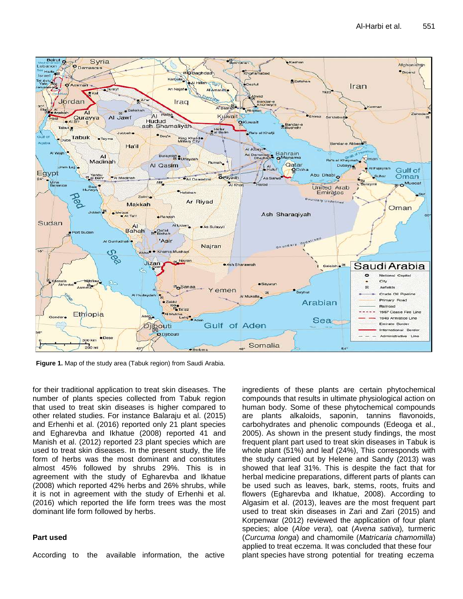

**Figure 1.** Map of the study area (Tabuk region) from Saudi Arabia.

for their traditional application to treat skin diseases. The number of plants species collected from Tabuk region that used to treat skin diseases is higher compared to other related studies. For instance Balaraju et al. (2015) and Erhenhi et al. (2016) reported only 21 plant species and Egharevba and Ikhatue (2008) reported 41 and Manish et al. (2012) reported 23 plant species which are used to treat skin diseases. In the present study, the life form of herbs was the most dominant and constitutes almost 45% followed by shrubs 29%. This is in agreement with the study of Egharevba and Ikhatue (2008) which reported 42% herbs and 26% shrubs, while it is not in agreement with the study of Erhenhi et al. (2016) which reported the life form trees was the most dominant life form followed by herbs.

## **Part used**

According to the available information, the active

ingredients of these plants are certain phytochemical compounds that results in ultimate physiological action on human body. Some of these phytochemical compounds are plants alkaloids, saponin, tannins flavonoids, carbohydrates and phenolic compounds (Edeoga et al., 2005). As shown in the present study findings, the most frequent plant part used to treat skin diseases in Tabuk is whole plant (51%) and leaf (24%), This corresponds with the study carried out by Helene and Sandy (2013) was showed that leaf 31%. This is despite the fact that for herbal medicine preparations, different parts of plants can be used such as leaves, bark, stems, roots, fruits and flowers (Egharevba and Ikhatue, 2008). According to Algasim et al. (2013), leaves are the most frequent part used to treat skin diseases in Zari and Zari (2015) and Korpenwar (2012) reviewed the application of four plant species; aloe (*Aloe vera*)*,* oat (*Avena sativa*)*,* turmeric (*Curcuma longa*) and chamomile (*Matricaria chamomilla*) applied to treat eczema. It was concluded that these four plant species have strong potential for treating eczema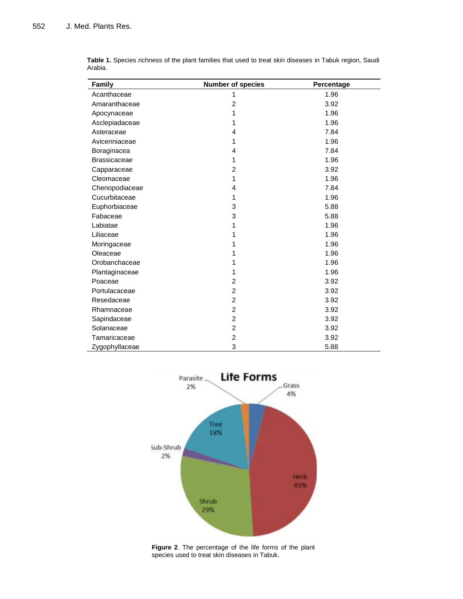| <b>Family</b>       | <b>Number of species</b> | Percentage |  |
|---------------------|--------------------------|------------|--|
| Acanthaceae         | 1                        | 1.96       |  |
| Amaranthaceae       | $\overline{2}$           | 3.92       |  |
| Apocynaceae         | 1                        | 1.96       |  |
| Asclepiadaceae      | 1                        | 1.96       |  |
| Asteraceae          | 4                        | 7.84       |  |
| Avicenniaceae       | 1                        | 1.96       |  |
| Boraginacea         | 4                        | 7.84       |  |
| <b>Brassicaceae</b> | 1                        | 1.96       |  |
| Capparaceae         | 2                        | 3.92       |  |
| Cleomaceae          | 1                        | 1.96       |  |
| Chenopodiaceae      | 4                        | 7.84       |  |
| Cucurbitaceae       | 1                        | 1.96       |  |
| Euphorbiaceae       | 3                        | 5.88       |  |
| Fabaceae            | 3                        | 5.88       |  |
| Labiatae            | 1                        | 1.96       |  |
| Liliaceae           | 1                        | 1.96       |  |
| Moringaceae         | 1                        | 1.96       |  |
| Oleaceae            | 1                        | 1.96       |  |
| Orobanchaceae       | 1                        | 1.96       |  |
| Plantaginaceae      | 1                        | 1.96       |  |
| Poaceae             | $\overline{c}$           | 3.92       |  |
| Portulacaceae       | $\overline{2}$           | 3.92       |  |
| Resedaceae          | $\overline{2}$           | 3.92       |  |
| Rhamnaceae          | $\overline{c}$           | 3.92       |  |
| Sapindaceae         | $\overline{c}$           | 3.92       |  |
| Solanaceae          | $\overline{c}$           | 3.92       |  |
| Tamaricaceae        | $\overline{c}$           | 3.92       |  |
| Zygophyllaceae      | 3                        | 5.88       |  |

**Table 1.** Species richness of the plant families that used to treat skin diseases in Tabuk region, Saudi Arabia.



**Figure 2**. The percentage of the life forms of the plant species used to treat skin diseases in Tabuk.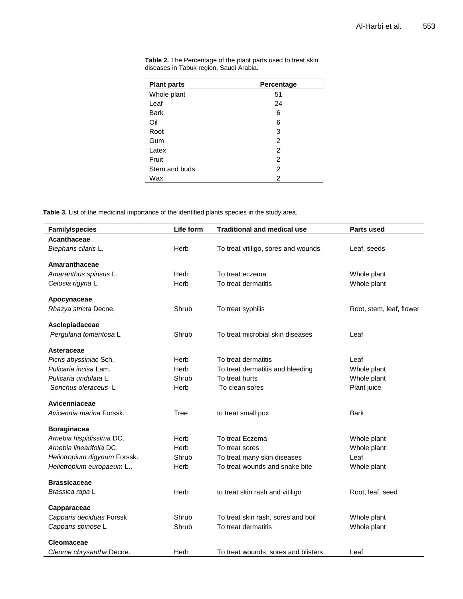| <b>Plant parts</b> | Percentage |
|--------------------|------------|
| Whole plant        | 51         |
| Leaf               | 24         |
| <b>Bark</b>        | 6          |
| Oil                | 6          |
| Root               | 3          |
| Gum                | 2          |
| Latex              | 2          |
| Fruit              | 2          |
| Stem and buds      | 2          |
| Wax                | 2          |

**Table 2.** The Percentage of the plant parts used to treat skin diseases in Tabuk region, Saudi Arabia.

**Table 3.** List of the medicinal importance of the identified plants species in the study area.

| <b>Family/species</b>        | Life form | <b>Traditional and medical use</b>  | <b>Parts used</b>        |
|------------------------------|-----------|-------------------------------------|--------------------------|
| Acanthaceae                  |           |                                     |                          |
| Blepharis cilaris L.         | Herb      | To treat vitiligo, sores and wounds | Leaf, seeds              |
| Amaranthaceae                |           |                                     |                          |
|                              |           |                                     |                          |
| Amaranthus spinsus L.        | Herb      | To treat eczema                     | Whole plant              |
| Celosia rigyna L.            | Herb      | To treat dermatitis                 | Whole plant              |
| Apocynaceae                  |           |                                     |                          |
| Rhazya stricta Decne.        | Shrub     | To treat syphilis                   | Root, stem, leaf, flower |
| Asclepiadaceae               |           |                                     |                          |
| Pergularia tomentosa L       | Shrub     | To treat microbial skin diseases    | Leaf                     |
| Asteraceae                   |           |                                     |                          |
| Picris abyssiniac Sch.       | Herb      | To treat dermatitis                 | Leaf                     |
| Pulicaria incisa Lam.        | Herb      | To treat dermatitis and bleeding    | Whole plant              |
| Pulicaria undulata L.        | Shrub     | To treat hurts                      | Whole plant              |
| Sonchus oleraceus L          | Herb      | To clean sores                      | Plant juice              |
| Avicenniaceae                |           |                                     |                          |
| Avicennia marina Forssk.     | Tree      | to treat small pox                  | Bark                     |
| <b>Boraginacea</b>           |           |                                     |                          |
| Arnebia hispidissima DC.     | Herb      | To treat Eczema                     | Whole plant              |
| Arnebia linearifolia DC.     | Herb      | To treat sores                      | Whole plant              |
| Heliotropium digynum Forssk. | Shrub     | To treat many skin diseases         | Leaf                     |
| Heliotropium europaeum L     | Herb      | To treat wounds and snake bite      | Whole plant              |
| <b>Brassicaceae</b>          |           |                                     |                          |
| Brassica rapa L              | Herb      | to treat skin rash and vitiligo     | Root, leaf, seed         |
| Capparaceae                  |           |                                     |                          |
| Capparis deciduas Forssk     | Shrub     | To treat skin rash, sores and boil  | Whole plant              |
| Capparis spinose L           | Shrub     | To treat dermatitis                 | Whole plant              |
| Cleomaceae                   |           |                                     |                          |
| Cleome chrysantha Decne.     | Herb      | To treat wounds, sores and blisters | Leaf                     |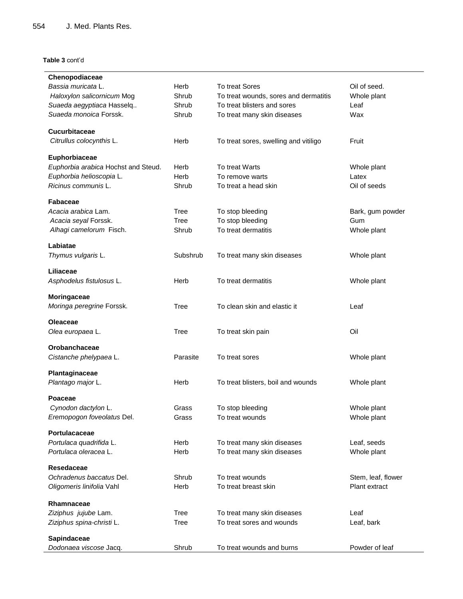## **Table 3** cont'd

| Chenopodiaceae                      |             |                                       |                    |
|-------------------------------------|-------------|---------------------------------------|--------------------|
| Bassia muricata L.                  | Herb        | To treat Sores                        | Oil of seed.       |
| Haloxylon salicornicum Mog          | Shrub       | To treat wounds, sores and dermatitis | Whole plant        |
| Suaeda aegyptiaca Hasselq           | Shrub       | To treat blisters and sores           | Leaf               |
| Suaeda monoica Forssk.              | Shrub       | To treat many skin diseases           | Wax                |
|                                     |             |                                       |                    |
| Cucurbitaceae                       |             |                                       |                    |
| Citrullus colocynthis L.            | Herb        | To treat sores, swelling and vitiligo | Fruit              |
| Euphorbiaceae                       |             |                                       |                    |
| Euphorbia arabica Hochst and Steud. | Herb        | To treat Warts                        | Whole plant        |
| Euphorbia helioscopia L.            | Herb        | To remove warts                       | Latex              |
| Ricinus communis L.                 | Shrub       | To treat a head skin                  | Oil of seeds       |
|                                     |             |                                       |                    |
| <b>Fabaceae</b>                     |             |                                       |                    |
| Acacia arabica Lam.                 | Tree        | To stop bleeding                      | Bark, gum powder   |
| Acacia seyal Forssk.                | Tree        | To stop bleeding                      | Gum                |
| Alhagi camelorum Fisch.             | Shrub       | To treat dermatitis                   | Whole plant        |
| Labiatae                            |             |                                       |                    |
|                                     | Subshrub    |                                       |                    |
| Thymus vulgaris L.                  |             | To treat many skin diseases           | Whole plant        |
| Liliaceae                           |             |                                       |                    |
| Asphodelus fistulosus L.            | Herb        | To treat dermatitis                   | Whole plant        |
|                                     |             |                                       |                    |
| Moringaceae                         |             |                                       |                    |
| Moringa peregrine Forssk.           | Tree        | To clean skin and elastic it          | Leaf               |
| <b>Oleaceae</b>                     |             |                                       |                    |
| Olea europaea L.                    | <b>Tree</b> | To treat skin pain                    | Oil                |
|                                     |             |                                       |                    |
| Orobanchaceae                       |             |                                       |                    |
| Cistanche phelypaea L.              | Parasite    | To treat sores                        | Whole plant        |
|                                     |             |                                       |                    |
| Plantaginaceae                      | Herb        |                                       |                    |
| Plantago major L.                   |             | To treat blisters, boil and wounds    | Whole plant        |
| Poaceae                             |             |                                       |                    |
| Cynodon dactylon L.                 | Grass       | To stop bleeding                      | Whole plant        |
| Eremopogon foveolatus Del.          | Grass       | To treat wounds                       | Whole plant        |
|                                     |             |                                       |                    |
| Portulacaceae                       |             |                                       |                    |
| Portulaca quadrifida L.             | Herb        | To treat many skin diseases           | Leaf, seeds        |
| Portulaca oleracea L.               | Herb        | To treat many skin diseases           | Whole plant        |
| Resedaceae                          |             |                                       |                    |
| Ochradenus baccatus Del.            | Shrub       | To treat wounds                       | Stem, leaf, flower |
| Oligomeris linifolia Vahl           | Herb        | To treat breast skin                  | Plant extract      |
|                                     |             |                                       |                    |
| Rhamnaceae                          |             |                                       |                    |
| Ziziphus jujube Lam.                | Tree        | To treat many skin diseases           | Leaf               |
| Ziziphus spina-christi L.           | Tree        | To treat sores and wounds             | Leaf, bark         |
|                                     |             |                                       |                    |
| Sapindaceae                         |             |                                       |                    |
| Dodonaea viscose Jacq.              | Shrub       | To treat wounds and burns             | Powder of leaf     |